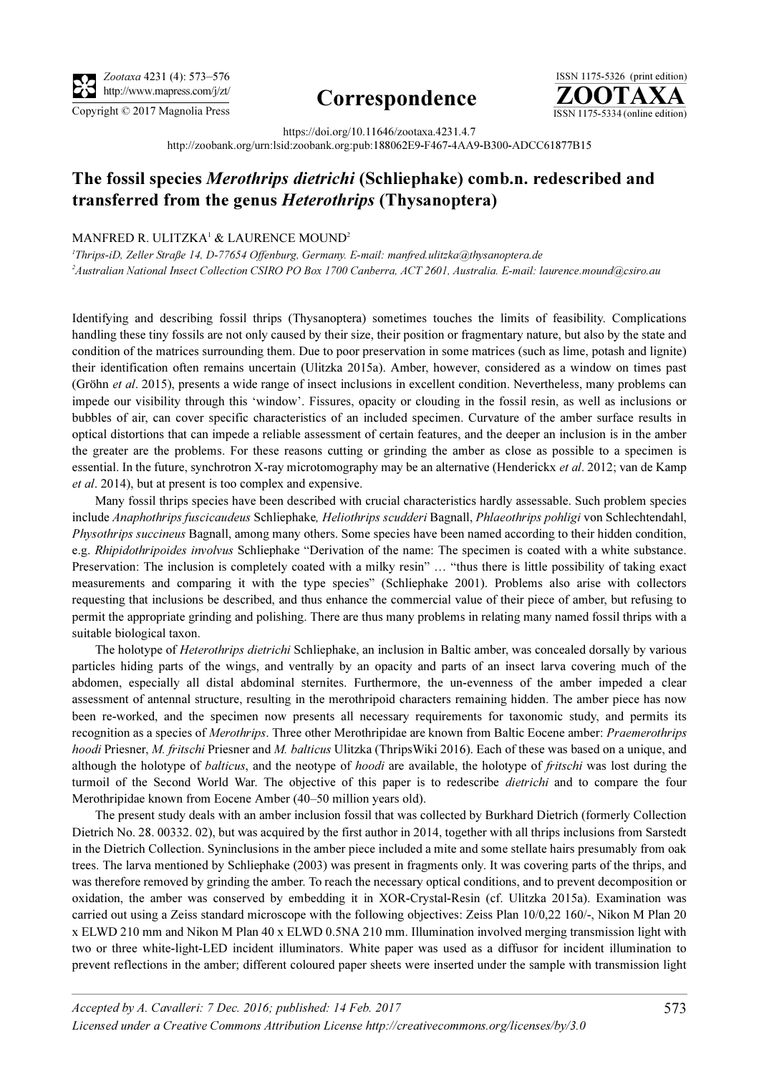

# http://www.mapress.com/j/zt/ Correspondence



https://doi.org/10.11646/zootaxa.4231.4.7 http://zoobank.org/urn:lsid:zoobank.org:pub:188062E9-F467-4AA9-B300-ADCC61877B15

# The fossil species Merothrips dietrichi (Schliephake) comb.n. redescribed and transferred from the genus Heterothrips (Thysanoptera)

## MANFRED R. ULITZKA<sup>1</sup> & LAURENCE MOUND<sup>2</sup>

<sup>1</sup>Thrips-iD, Zeller Straße 14, D-77654 Offenburg, Germany. E-mail: manfred.ulitzka@thysanoptera.de <sup>2</sup>Australian National Insect Collection CSIRO PO Box 1700 Canberra, ACT 2601, Australia. E-mail: laurence.mound@csiro.au

Identifying and describing fossil thrips (Thysanoptera) sometimes touches the limits of feasibility. Complications handling these tiny fossils are not only caused by their size, their position or fragmentary nature, but also by the state and condition of the matrices surrounding them. Due to poor preservation in some matrices (such as lime, potash and lignite) their identification often remains uncertain (Ulitzka 2015a). Amber, however, considered as a window on times past (Gröhn et al. 2015), presents a wide range of insect inclusions in excellent condition. Nevertheless, many problems can impede our visibility through this 'window'. Fissures, opacity or clouding in the fossil resin, as well as inclusions or bubbles of air, can cover specific characteristics of an included specimen. Curvature of the amber surface results in optical distortions that can impede a reliable assessment of certain features, and the deeper an inclusion is in the amber the greater are the problems. For these reasons cutting or grinding the amber as close as possible to a specimen is essential. In the future, synchrotron X-ray microtomography may be an alternative (Henderickx et al. 2012; van de Kamp et al. 2014), but at present is too complex and expensive.

Many fossil thrips species have been described with crucial characteristics hardly assessable. Such problem species include Anaphothrips fuscicaudeus Schliephake, Heliothrips scudderi Bagnall, Phlaeothrips pohligi von Schlechtendahl, Physothrips succineus Bagnall, among many others. Some species have been named according to their hidden condition, e.g. Rhipidothripoides involvus Schliephake "Derivation of the name: The specimen is coated with a white substance. Preservation: The inclusion is completely coated with a milky resin" ... "thus there is little possibility of taking exact measurements and comparing it with the type species" (Schliephake 2001). Problems also arise with collectors requesting that inclusions be described, and thus enhance the commercial value of their piece of amber, but refusing to permit the appropriate grinding and polishing. There are thus many problems in relating many named fossil thrips with a suitable biological taxon.

The holotype of *Heterothrips dietrichi* Schliephake, an inclusion in Baltic amber, was concealed dorsally by various particles hiding parts of the wings, and ventrally by an opacity and parts of an insect larva covering much of the abdomen, especially all distal abdominal sternites. Furthermore, the un-evenness of the amber impeded a clear assessment of antennal structure, resulting in the merothripoid characters remaining hidden. The amber piece has now been re-worked, and the specimen now presents all necessary requirements for taxonomic study, and permits its recognition as a species of Merothrips. Three other Merothripidae are known from Baltic Eocene amber: Praemerothrips hoodi Priesner, M. fritschi Priesner and M. balticus Ulitzka (ThripsWiki 2016). Each of these was based on a unique, and although the holotype of *balticus*, and the neotype of *hoodi* are available, the holotype of *fritschi* was lost during the turmoil of the Second World War. The objective of this paper is to redescribe *dietrichi* and to compare the four Merothripidae known from Eocene Amber (40–50 million years old).

The present study deals with an amber inclusion fossil that was collected by Burkhard Dietrich (formerly Collection Dietrich No. 28. 00332. 02), but was acquired by the first author in 2014, together with all thrips inclusions from Sarstedt in the Dietrich Collection. Syninclusions in the amber piece included a mite and some stellate hairs presumably from oak trees. The larva mentioned by Schliephake (2003) was present in fragments only. It was covering parts of the thrips, and was therefore removed by grinding the amber. To reach the necessary optical conditions, and to prevent decomposition or oxidation, the amber was conserved by embedding it in XOR-Crystal-Resin (cf. Ulitzka 2015a). Examination was carried out using a Zeiss standard microscope with the following objectives: Zeiss Plan 10/0,22 160/-, Nikon M Plan 20 x ELWD 210 mm and Nikon M Plan 40 x ELWD 0.5NA 210 mm. Illumination involved merging transmission light with two or three white-light-LED incident illuminators. White paper was used as a diffusor for incident illumination to prevent reflections in the amber; different coloured paper sheets were inserted under the sample with transmission light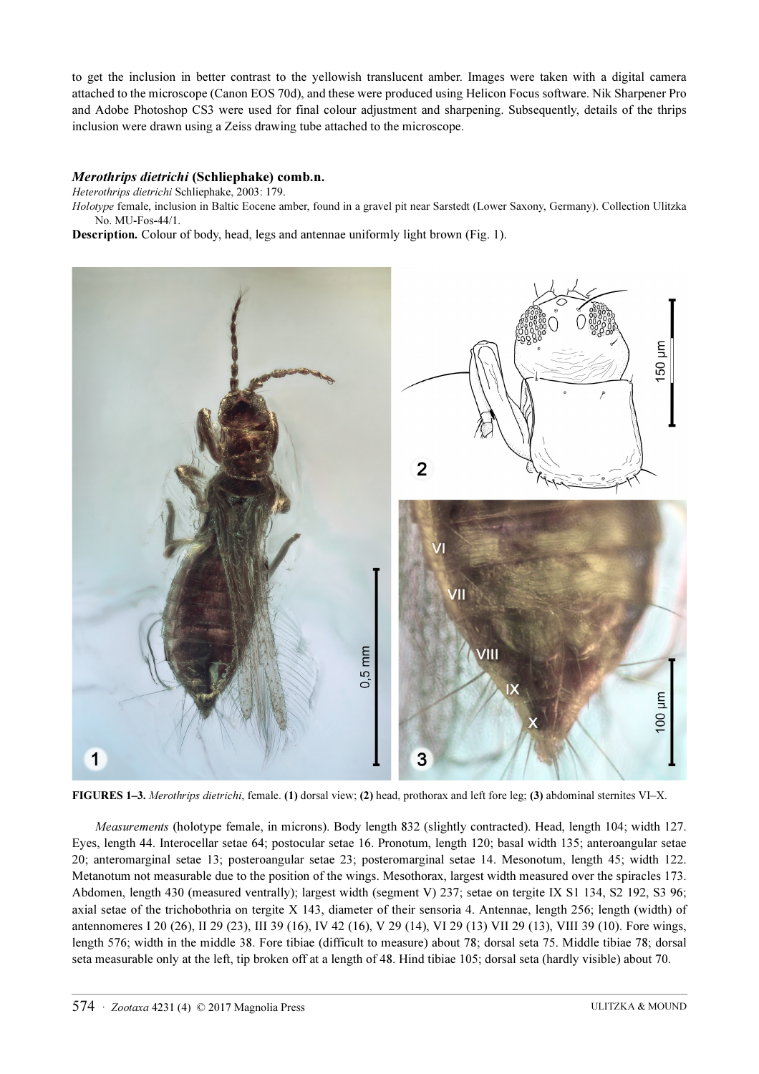to get the inclusion in better contrast to the yellowish translucent amber. Images were taken with a digital camera attached to the microscope (Canon EOS 70d), and these were produced using Helicon Focus software. Nik Sharpener Pro and Adobe Photoshop CS3 were used for final colour adjustment and sharpening. Subsequently, details of the thrips inclusion were drawn using a Zeiss drawing tube attached to the microscope.

#### Merothrips dietrichi (Schliephake) comb.n.

Heterothrips dietrichi Schliephake, 2003: 179.

Holotype female, inclusion in Baltic Eocene amber, found in a gravel pit near Sarstedt (Lower Saxony, Germany). Collection Ulitzka No. MU-Fos-44/1.

Description. Colour of body, head, legs and antennae uniformly light brown (Fig. 1).



FIGURES 1–3. Merothrips dietrichi, female. (1) dorsal view; (2) head, prothorax and left fore leg; (3) abdominal sternites VI–X.

Measurements (holotype female, in microns). Body length 832 (slightly contracted). Head, length 104; width 127. Eyes, length 44. Interocellar setae 64; postocular setae 16. Pronotum, length 120; basal width 135; anteroangular setae 20; anteromarginal setae 13; posteroangular setae 23; posteromarginal setae 14. Mesonotum, length 45; width 122. Metanotum not measurable due to the position of the wings. Mesothorax, largest width measured over the spiracles 173. Abdomen, length 430 (measured ventrally); largest width (segment V) 237; setae on tergite IX S1 134, S2 192, S3 96; axial setae of the trichobothria on tergite X 143, diameter of their sensoria 4. Antennae, length 256; length (width) of antennomeres I 20 (26), II 29 (23), III 39 (16), IV 42 (16), V 29 (14), VI 29 (13) VII 29 (13), VIII 39 (10). Fore wings, length 576; width in the middle 38. Fore tibiae (difficult to measure) about 78; dorsal seta 75. Middle tibiae 78; dorsal seta measurable only at the left, tip broken off at a length of 48. Hind tibiae 105; dorsal seta (hardly visible) about 70.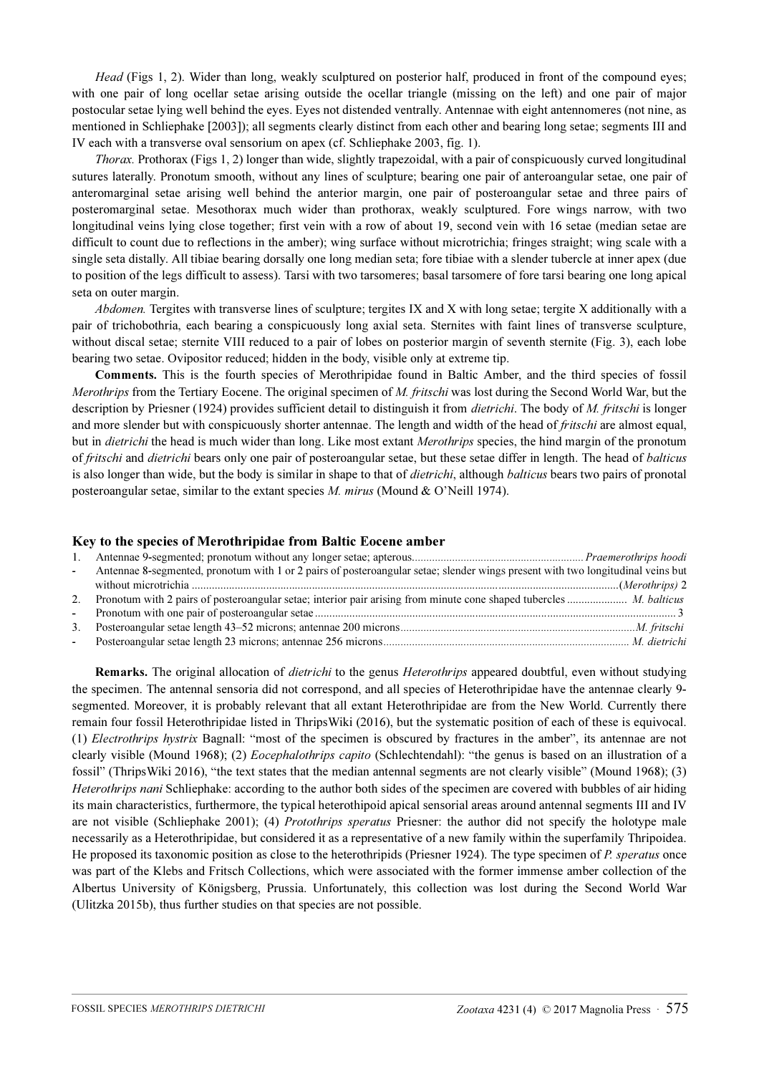Head (Figs 1, 2). Wider than long, weakly sculptured on posterior half, produced in front of the compound eyes; with one pair of long ocellar setae arising outside the ocellar triangle (missing on the left) and one pair of major postocular setae lying well behind the eyes. Eyes not distended ventrally. Antennae with eight antennomeres (not nine, as mentioned in Schliephake [2003]); all segments clearly distinct from each other and bearing long setae; segments III and IV each with a transverse oval sensorium on apex (cf. Schliephake 2003, fig. 1).

Thorax. Prothorax (Figs 1, 2) longer than wide, slightly trapezoidal, with a pair of conspicuously curved longitudinal sutures laterally. Pronotum smooth, without any lines of sculpture; bearing one pair of anteroangular setae, one pair of anteromarginal setae arising well behind the anterior margin, one pair of posteroangular setae and three pairs of posteromarginal setae. Mesothorax much wider than prothorax, weakly sculptured. Fore wings narrow, with two longitudinal veins lying close together; first vein with a row of about 19, second vein with 16 setae (median setae are difficult to count due to reflections in the amber); wing surface without microtrichia; fringes straight; wing scale with a single seta distally. All tibiae bearing dorsally one long median seta; fore tibiae with a slender tubercle at inner apex (due to position of the legs difficult to assess). Tarsi with two tarsomeres; basal tarsomere of fore tarsi bearing one long apical seta on outer margin.

Abdomen. Tergites with transverse lines of sculpture; tergites IX and X with long setae; tergite X additionally with a pair of trichobothria, each bearing a conspicuously long axial seta. Sternites with faint lines of transverse sculpture, without discal setae; sternite VIII reduced to a pair of lobes on posterior margin of seventh sternite (Fig. 3), each lobe bearing two setae. Ovipositor reduced; hidden in the body, visible only at extreme tip.

Comments. This is the fourth species of Merothripidae found in Baltic Amber, and the third species of fossil Merothrips from the Tertiary Eocene. The original specimen of M. fritschi was lost during the Second World War, but the description by Priesner (1924) provides sufficient detail to distinguish it from *dietrichi*. The body of *M. fritschi* is longer and more slender but with conspicuously shorter antennae. The length and width of the head of *fritschi* are almost equal, but in *dietrichi* the head is much wider than long. Like most extant *Merothrips* species, the hind margin of the pronotum of fritschi and dietrichi bears only one pair of posteroangular setae, but these setae differ in length. The head of balticus is also longer than wide, but the body is similar in shape to that of *dietrichi*, although *balticus* bears two pairs of pronotal posteroangular setae, similar to the extant species M. mirus (Mound & O'Neill 1974).

### Key to the species of Merothripidae from Baltic Eocene amber

| 1.     |                                                                                                                                 |  |
|--------|---------------------------------------------------------------------------------------------------------------------------------|--|
| $\sim$ | Antennae 8-segmented, pronotum with 1 or 2 pairs of posteroangular setae; slender wings present with two longitudinal veins but |  |
|        |                                                                                                                                 |  |
|        | 2. Pronotum with 2 pairs of posteroangular setae; interior pair arising from minute cone shaped tubercles  M. balticus          |  |
|        |                                                                                                                                 |  |
|        |                                                                                                                                 |  |
|        |                                                                                                                                 |  |

Remarks. The original allocation of *dietrichi* to the genus *Heterothrips* appeared doubtful, even without studying the specimen. The antennal sensoria did not correspond, and all species of Heterothripidae have the antennae clearly 9 segmented. Moreover, it is probably relevant that all extant Heterothripidae are from the New World. Currently there remain four fossil Heterothripidae listed in ThripsWiki (2016), but the systematic position of each of these is equivocal. (1) Electrothrips hystrix Bagnall: "most of the specimen is obscured by fractures in the amber", its antennae are not clearly visible (Mound 1968); (2) *Eocephalothrips capito* (Schlechtendahl): "the genus is based on an illustration of a fossil" (ThripsWiki 2016), "the text states that the median antennal segments are not clearly visible" (Mound 1968); (3) Heterothrips nani Schliephake: according to the author both sides of the specimen are covered with bubbles of air hiding its main characteristics, furthermore, the typical heterothipoid apical sensorial areas around antennal segments III and IV are not visible (Schliephake 2001); (4) Protothrips speratus Priesner: the author did not specify the holotype male necessarily as a Heterothripidae, but considered it as a representative of a new family within the superfamily Thripoidea. He proposed its taxonomic position as close to the heterothripids (Priesner 1924). The type specimen of P. speratus once was part of the Klebs and Fritsch Collections, which were associated with the former immense amber collection of the Albertus University of Königsberg, Prussia. Unfortunately, this collection was lost during the Second World War (Ulitzka 2015b), thus further studies on that species are not possible.